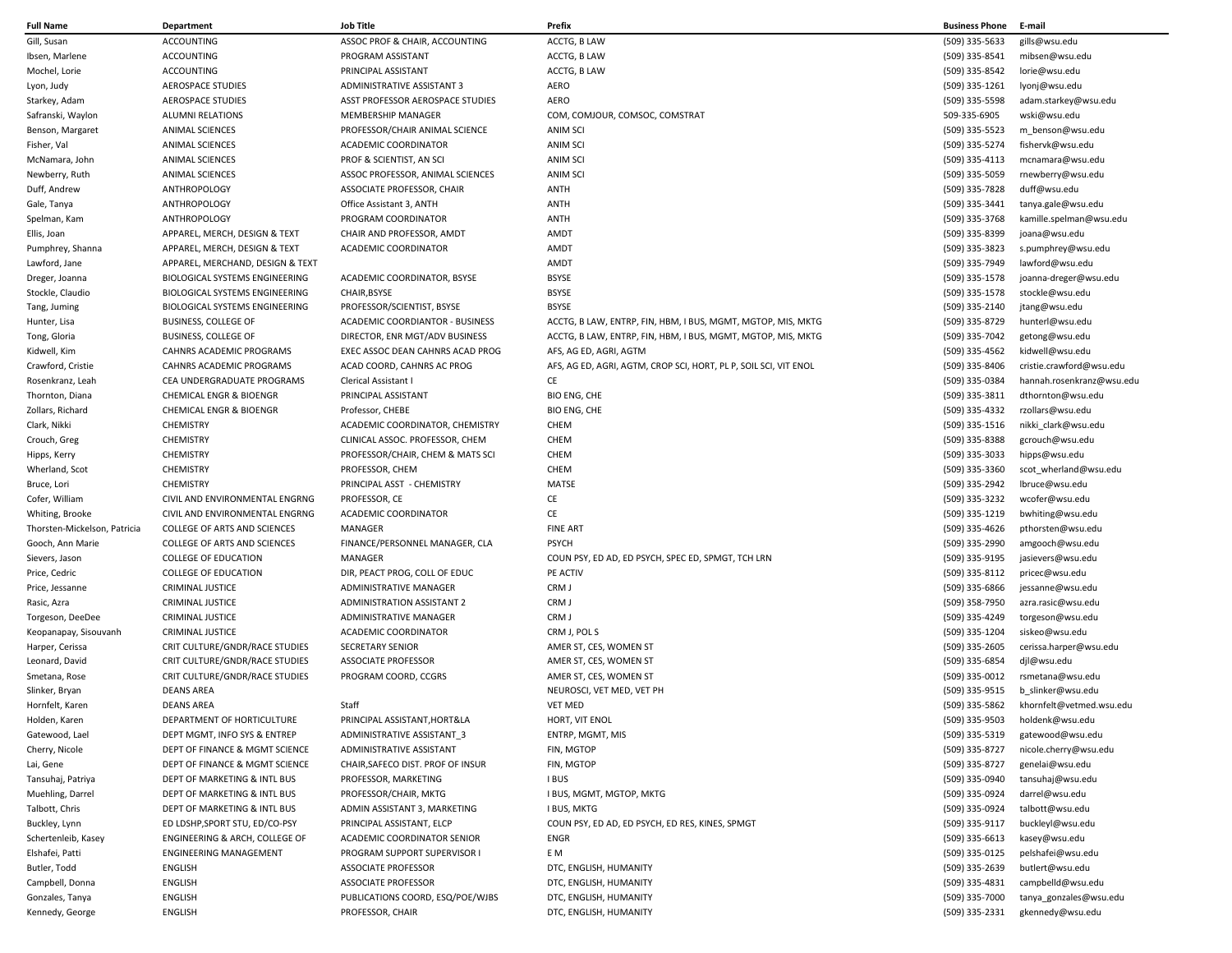| <b>Full Name</b>                | Department                                                       | Job Title                                                   | Prefix                                                           | <b>Business Phone</b>            | E-mail                          |
|---------------------------------|------------------------------------------------------------------|-------------------------------------------------------------|------------------------------------------------------------------|----------------------------------|---------------------------------|
| Gill, Susan                     | <b>ACCOUNTING</b>                                                | ASSOC PROF & CHAIR, ACCOUNTING                              | ACCTG, B LAW                                                     | (509) 335-5633                   | gills@wsu.edu                   |
| Ibsen, Marlene                  | ACCOUNTING                                                       | PROGRAM ASSISTANT                                           | ACCTG, B LAW                                                     | (509) 335-8541                   | mibsen@wsu.edu                  |
| Mochel, Lorie                   | ACCOUNTING                                                       | PRINCIPAL ASSISTANT                                         | ACCTG, B LAW                                                     | (509) 335-8542                   | lorie@wsu.edu                   |
| Lyon, Judy                      | <b>AEROSPACE STUDIES</b>                                         | ADMINISTRATIVE ASSISTANT 3                                  | AERO                                                             | (509) 335-1261                   | lyonj@wsu.edu                   |
| Starkey, Adam                   | <b>AEROSPACE STUDIES</b>                                         | ASST PROFESSOR AEROSPACE STUDIES                            | <b>AERO</b>                                                      | (509) 335-5598                   | adam.starkey@wsu.edu            |
| Safranski, Waylon               | <b>ALUMNI RELATIONS</b>                                          | <b>MEMBERSHIP MANAGER</b>                                   | COM, COMJOUR, COMSOC, COMSTRAT                                   | 509-335-6905                     | wski@wsu.edu                    |
| Benson, Margaret                | <b>ANIMAL SCIENCES</b>                                           | PROFESSOR/CHAIR ANIMAL SCIENCE                              | <b>ANIM SCI</b>                                                  | (509) 335-5523                   | m_benson@wsu.edu                |
| Fisher, Val                     | <b>ANIMAL SCIENCES</b>                                           | ACADEMIC COORDINATOR                                        | <b>ANIM SCI</b>                                                  | (509) 335-5274                   | fishervk@wsu.edu                |
| McNamara, John                  | <b>ANIMAL SCIENCES</b>                                           | PROF & SCIENTIST, AN SCI                                    | <b>ANIM SCI</b>                                                  | (509) 335-4113                   | mcnamara@wsu.edu                |
| Newberry, Ruth                  | <b>ANIMAL SCIENCES</b>                                           | ASSOC PROFESSOR, ANIMAL SCIENCES                            | <b>ANIM SCI</b>                                                  | (509) 335-5059                   | rnewberry@wsu.edu               |
| Duff, Andrew                    | ANTHROPOLOGY                                                     | ASSOCIATE PROFESSOR, CHAIR                                  | ANTH                                                             | (509) 335-7828                   | duff@wsu.edu                    |
| Gale, Tanya                     | ANTHROPOLOGY                                                     | Office Assistant 3, ANTH                                    | ANTH                                                             | (509) 335-3441                   | tanya.gale@wsu.edu              |
| Spelman, Kam                    | ANTHROPOLOGY                                                     | PROGRAM COORDINATOR                                         | ANTH                                                             | (509) 335-3768                   | kamille.spelman@wsu.edu         |
| Ellis, Joan                     | APPAREL, MERCH, DESIGN & TEXT                                    | CHAIR AND PROFESSOR, AMDT                                   | AMDT                                                             | (509) 335-8399                   | joana@wsu.edu                   |
| Pumphrey, Shanna                | APPAREL, MERCH, DESIGN & TEXT                                    | ACADEMIC COORDINATOR                                        | AMDT                                                             | (509) 335-3823                   | s.pumphrey@wsu.edu              |
| Lawford, Jane                   | APPAREL, MERCHAND, DESIGN & TEXT                                 |                                                             | AMDT                                                             | (509) 335-7949                   | lawford@wsu.edu                 |
| Dreger, Joanna                  | BIOLOGICAL SYSTEMS ENGINEERING                                   | ACADEMIC COORDINATOR, BSYSE                                 | <b>BSYSE</b>                                                     | (509) 335-1578                   | joanna-dreger@wsu.edu           |
| Stockle, Claudio                | <b>BIOLOGICAL SYSTEMS ENGINEERING</b>                            | CHAIR, BSYSE                                                | <b>BSYSE</b>                                                     | (509) 335-1578                   | stockle@wsu.edu                 |
| Tang, Juming                    | <b>BIOLOGICAL SYSTEMS ENGINEERING</b>                            | PROFESSOR/SCIENTIST, BSYSE                                  | <b>BSYSE</b>                                                     | (509) 335-2140                   | jtang@wsu.edu                   |
| Hunter, Lisa                    | <b>BUSINESS, COLLEGE OF</b>                                      | ACADEMIC COORDIANTOR - BUSINESS                             | ACCTG, B LAW, ENTRP, FIN, HBM, I BUS, MGMT, MGTOP, MIS, MKTG     | (509) 335-8729                   | hunterl@wsu.edu                 |
| Tong, Gloria                    | <b>BUSINESS, COLLEGE OF</b>                                      | DIRECTOR, ENR MGT/ADV BUSINESS                              | ACCTG, B LAW, ENTRP, FIN, HBM, I BUS, MGMT, MGTOP, MIS, MKTG     | (509) 335-7042                   | getong@wsu.edu                  |
| Kidwell, Kim                    | CAHNRS ACADEMIC PROGRAMS                                         | EXEC ASSOC DEAN CAHNRS ACAD PROG                            | AFS, AG ED, AGRI, AGTM                                           | (509) 335-4562                   | kidwell@wsu.edu                 |
| Crawford, Cristie               | CAHNRS ACADEMIC PROGRAMS                                         | ACAD COORD, CAHNRS AC PROG                                  | AFS, AG ED, AGRI, AGTM, CROP SCI, HORT, PL P, SOIL SCI, VIT ENOL | (509) 335-8406                   | cristie.crawford@wsu.edu        |
| Rosenkranz, Leah                | CEA UNDERGRADUATE PROGRAMS                                       | Clerical Assistant I                                        | CE                                                               | (509) 335-0384                   | hannah.rosenkranz@wsu.edu       |
| Thornton, Diana                 | <b>CHEMICAL ENGR &amp; BIOENGR</b>                               | PRINCIPAL ASSISTANT                                         | <b>BIO ENG, CHE</b>                                              | (509) 335-3811                   | dthornton@wsu.edu               |
| Zollars, Richard                | <b>CHEMICAL ENGR &amp; BIOENGR</b>                               | Professor, CHEBE                                            | <b>BIO ENG, CHE</b>                                              | (509) 335-4332                   | rzollars@wsu.edu                |
| Clark, Nikki                    | CHEMISTRY                                                        | ACADEMIC COORDINATOR, CHEMISTRY                             | CHEM                                                             | (509) 335-1516                   | nikki_clark@wsu.edu             |
| Crouch, Greg                    | <b>CHEMISTRY</b>                                                 | CLINICAL ASSOC. PROFESSOR, CHEM                             | CHEM                                                             | (509) 335-8388                   | gcrouch@wsu.edu                 |
| Hipps, Kerry                    | <b>CHEMISTRY</b>                                                 | PROFESSOR/CHAIR, CHEM & MATS SCI                            | CHEM                                                             | (509) 335-3033                   | hipps@wsu.edu                   |
| Wherland, Scot                  | <b>CHEMISTRY</b>                                                 | PROFESSOR, CHEM                                             | CHEM                                                             | (509) 335-3360                   | scot wherland@wsu.edu           |
| Bruce, Lori                     | <b>CHEMISTRY</b>                                                 | PRINCIPAL ASST - CHEMISTRY                                  | MATSE                                                            | (509) 335-2942                   | lbruce@wsu.edu                  |
| Cofer, William                  | CIVIL AND ENVIRONMENTAL ENGRNG                                   | PROFESSOR, CE                                               | CE                                                               | (509) 335-3232                   | wcofer@wsu.edu                  |
| Whiting, Brooke                 | CIVIL AND ENVIRONMENTAL ENGRNG                                   | ACADEMIC COORDINATOR                                        | CE                                                               | (509) 335-1219                   | bwhiting@wsu.edu                |
| Thorsten-Mickelson, Patricia    | <b>COLLEGE OF ARTS AND SCIENCES</b>                              | MANAGER                                                     | <b>FINE ART</b>                                                  | (509) 335-4626                   | pthorsten@wsu.edu               |
| Gooch, Ann Marie                | COLLEGE OF ARTS AND SCIENCES                                     | FINANCE/PERSONNEL MANAGER, CLA                              | <b>PSYCH</b>                                                     | (509) 335-2990                   | amgooch@wsu.edu                 |
| Sievers, Jason                  | <b>COLLEGE OF EDUCATION</b>                                      | MANAGER                                                     | COUN PSY, ED AD, ED PSYCH, SPEC ED, SPMGT, TCH LRN               | (509) 335-9195                   | jasievers@wsu.edu               |
| Price, Cedric                   | <b>COLLEGE OF EDUCATION</b>                                      | DIR, PEACT PROG, COLL OF EDUC                               | PE ACTIV                                                         | (509) 335-8112                   | pricec@wsu.edu                  |
| Price, Jessanne                 | <b>CRIMINAL JUSTICE</b>                                          | ADMINISTRATIVE MANAGER                                      | CRM J                                                            | (509) 335-6866                   | jessanne@wsu.edu                |
| Rasic, Azra                     | <b>CRIMINAL JUSTICE</b>                                          | ADMINISTRATION ASSISTANT 2<br><b>ADMINISTRATIVE MANAGER</b> | CRM J                                                            | (509) 358-7950                   | azra.rasic@wsu.edu              |
| Torgeson, DeeDee                | <b>CRIMINAL JUSTICE</b>                                          |                                                             | CRM J                                                            | (509) 335-4249                   | torgeson@wsu.edu                |
| Keopanapay, Sisouvanh           | <b>CRIMINAL JUSTICE</b>                                          | ACADEMIC COORDINATOR<br><b>SECRETARY SENIOR</b>             | CRM J, POL S                                                     | (509) 335-1204                   | siskeo@wsu.edu                  |
| Harper, Cerissa                 | CRIT CULTURE/GNDR/RACE STUDIES<br>CRIT CULTURE/GNDR/RACE STUDIES | <b>ASSOCIATE PROFESSOR</b>                                  | AMER ST, CES, WOMEN ST<br>AMER ST, CES, WOMEN ST                 | (509) 335-2605<br>(509) 335-6854 | cerissa.harper@wsu.edu          |
| Leonard, David<br>Smetana, Rose | CRIT CULTURE/GNDR/RACE STUDIES                                   | PROGRAM COORD, CCGRS                                        | AMER ST, CES, WOMEN ST                                           | (509) 335-0012                   | djl@wsu.edu<br>rsmetana@wsu.edu |
| Slinker, Bryan                  | <b>DEANS AREA</b>                                                |                                                             | NEUROSCI, VET MED, VET PH                                        | (509) 335-9515                   | b slinker@wsu.edu               |
| Hornfelt, Karen                 | <b>DEANS AREA</b>                                                | Staff                                                       | <b>VET MED</b>                                                   | (509) 335-5862                   | khornfelt@vetmed.wsu.edu        |
| Holden, Karen                   | DEPARTMENT OF HORTICULTURE                                       | PRINCIPAL ASSISTANT, HORT&LA                                | HORT, VIT ENOL                                                   | (509) 335-9503                   | holdenk@wsu.edu                 |
| Gatewood, Lael                  | DEPT MGMT, INFO SYS & ENTREP                                     | ADMINISTRATIVE ASSISTANT 3                                  | ENTRP, MGMT, MIS                                                 | (509) 335-5319                   | gatewood@wsu.edu                |
| Cherry, Nicole                  | DEPT OF FINANCE & MGMT SCIENCE                                   | ADMINISTRATIVE ASSISTANT                                    | FIN, MGTOP                                                       | (509) 335-8727                   | nicole.cherry@wsu.edu           |
| Lai, Gene                       | DEPT OF FINANCE & MGMT SCIENCE                                   | CHAIR, SAFECO DIST. PROF OF INSUR                           | FIN, MGTOP                                                       | (509) 335-8727                   | genelai@wsu.edu                 |
| Tansuhaj, Patriya               | DEPT OF MARKETING & INTL BUS                                     | PROFESSOR, MARKETING                                        | <b>IBUS</b>                                                      | (509) 335-0940                   | tansuhaj@wsu.edu                |
| Muehling, Darrel                | DEPT OF MARKETING & INTL BUS                                     | PROFESSOR/CHAIR, MKTG                                       | I BUS, MGMT, MGTOP, MKTG                                         | (509) 335-0924                   | darrel@wsu.edu                  |
| Talbott, Chris                  | DEPT OF MARKETING & INTL BUS                                     | ADMIN ASSISTANT 3, MARKETING                                | I BUS, MKTG                                                      | (509) 335-0924                   | talbott@wsu.edu                 |
| Buckley, Lynn                   | ED LDSHP, SPORT STU, ED/CO-PSY                                   | PRINCIPAL ASSISTANT, ELCP                                   | COUN PSY, ED AD, ED PSYCH, ED RES, KINES, SPMGT                  | (509) 335-9117                   | buckleyl@wsu.edu                |
| Schertenleib, Kasey             | ENGINEERING & ARCH, COLLEGE OF                                   | ACADEMIC COORDINATOR SENIOR                                 | ENGR                                                             | (509) 335-6613                   | kasey@wsu.edu                   |
| Elshafei, Patti                 | <b>ENGINEERING MANAGEMENT</b>                                    | PROGRAM SUPPORT SUPERVISOR I                                | E M                                                              | (509) 335-0125                   | pelshafei@wsu.edu               |
| Butler, Todd                    | <b>ENGLISH</b>                                                   | <b>ASSOCIATE PROFESSOR</b>                                  | DTC, ENGLISH, HUMANITY                                           | (509) 335-2639                   | butlert@wsu.edu                 |
| Campbell, Donna                 | <b>ENGLISH</b>                                                   | <b>ASSOCIATE PROFESSOR</b>                                  | DTC, ENGLISH, HUMANITY                                           | (509) 335-4831                   | campbelld@wsu.edu               |
| Gonzales, Tanya                 | <b>ENGLISH</b>                                                   | PUBLICATIONS COORD, ESQ/POE/WJBS                            | DTC, ENGLISH, HUMANITY                                           | (509) 335-7000                   | tanya_gonzales@wsu.edu          |
| Kennedy, George                 | <b>ENGLISH</b>                                                   | PROFESSOR, CHAIR                                            | DTC, ENGLISH, HUMANITY                                           | (509) 335-2331                   | gkennedy@wsu.edu                |
|                                 |                                                                  |                                                             |                                                                  |                                  |                                 |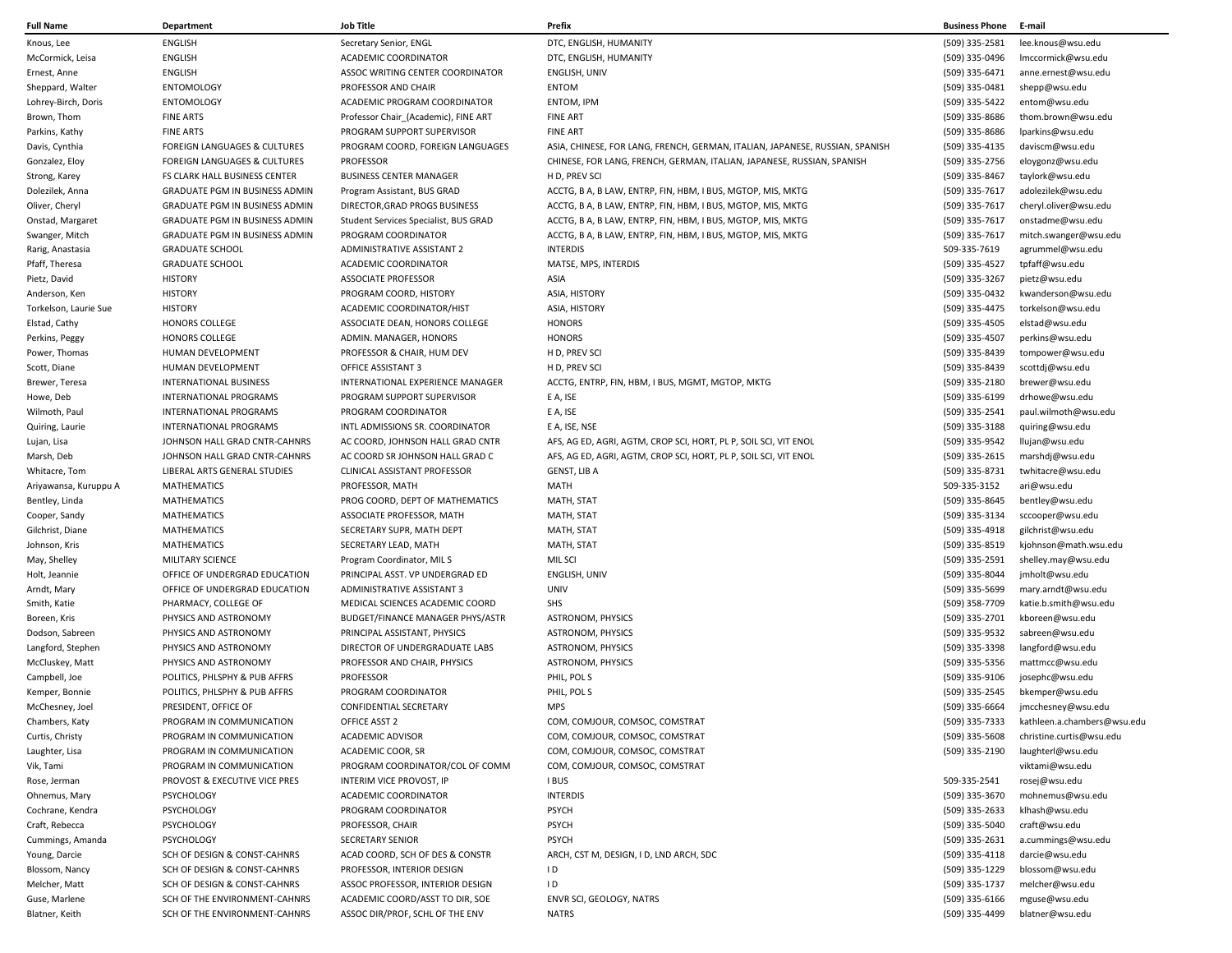| <b>Full Name</b>                   | <b>Department</b>              | <b>Job Title</b>                      | Prefix                                                                       | <b>Business Phone</b>            | E-mail                                     |
|------------------------------------|--------------------------------|---------------------------------------|------------------------------------------------------------------------------|----------------------------------|--------------------------------------------|
| Knous, Lee                         | <b>ENGLISH</b>                 | Secretary Senior, ENGL                | DTC, ENGLISH, HUMANITY                                                       | (509) 335-2581                   | lee.knous@wsu.edu                          |
| McCormick, Leisa                   | <b>ENGLISH</b>                 | ACADEMIC COORDINATOR                  | DTC, ENGLISH, HUMANITY                                                       | (509) 335-0496                   | Imccormick@wsu.edu                         |
| Ernest, Anne                       | <b>ENGLISH</b>                 | ASSOC WRITING CENTER COORDINATOR      | ENGLISH, UNIV                                                                | (509) 335-6471                   | anne.ernest@wsu.edu                        |
| Sheppard, Walter                   | <b>ENTOMOLOGY</b>              | PROFESSOR AND CHAIR                   | <b>ENTOM</b>                                                                 | (509) 335-0481                   | shepp@wsu.edu                              |
| Lohrey-Birch, Doris                | <b>ENTOMOLOGY</b>              | ACADEMIC PROGRAM COORDINATOR          | <b>ENTOM, IPM</b>                                                            | (509) 335-5422                   | entom@wsu.edu                              |
| Brown, Thom                        | <b>FINE ARTS</b>               | Professor Chair (Academic), FINE ART  | <b>FINE ART</b>                                                              | (509) 335-8686                   | thom.brown@wsu.edu                         |
| Parkins, Kathy                     | <b>FINE ARTS</b>               | PROGRAM SUPPORT SUPERVISOR            | <b>FINE ART</b>                                                              | (509) 335-8686                   | lparkins@wsu.edu                           |
| Davis, Cynthia                     | FOREIGN LANGUAGES & CULTURES   | PROGRAM COORD, FOREIGN LANGUAGES      | ASIA, CHINESE, FOR LANG, FRENCH, GERMAN, ITALIAN, JAPANESE, RUSSIAN, SPANISH | (509) 335-4135                   | daviscm@wsu.edu                            |
| Gonzalez, Eloy                     | FOREIGN LANGUAGES & CULTURES   | <b>PROFESSOR</b>                      | CHINESE, FOR LANG, FRENCH, GERMAN, ITALIAN, JAPANESE, RUSSIAN, SPANISH       | (509) 335-2756                   | eloygonz@wsu.edu                           |
| Strong, Karey                      | FS CLARK HALL BUSINESS CENTER  | <b>BUSINESS CENTER MANAGER</b>        | H D, PREV SC                                                                 | (509) 335-8467                   | taylork@wsu.edu                            |
| Dolezilek, Anna                    | GRADUATE PGM IN BUSINESS ADMIN | Program Assistant, BUS GRAD           | ACCTG, B A, B LAW, ENTRP, FIN, HBM, I BUS, MGTOP, MIS, MKTG                  | (509) 335-7617                   | adolezilek@wsu.edu                         |
| Oliver, Cheryl                     | GRADUATE PGM IN BUSINESS ADMIN | DIRECTOR, GRAD PROGS BUSINESS         | ACCTG, B A, B LAW, ENTRP, FIN, HBM, I BUS, MGTOP, MIS, MKTG                  | (509) 335-7617                   | cheryl.oliver@wsu.edu                      |
| Onstad, Margaret                   | GRADUATE PGM IN BUSINESS ADMIN | Student Services Specialist, BUS GRAD | ACCTG, B A, B LAW, ENTRP, FIN, HBM, I BUS, MGTOP, MIS, MKTG                  | (509) 335-7617                   | onstadme@wsu.edu                           |
| Swanger, Mitch                     | GRADUATE PGM IN BUSINESS ADMIN | PROGRAM COORDINATOR                   | ACCTG, B A, B LAW, ENTRP, FIN, HBM, I BUS, MGTOP, MIS, MKTG                  | (509) 335-7617                   | mitch.swanger@wsu.edu                      |
|                                    | <b>GRADUATE SCHOOL</b>         | ADMINISTRATIVE ASSISTANT 2            | <b>INTERDIS</b>                                                              | 509-335-7619                     | agrummel@wsu.edu                           |
| Rarig, Anastasia<br>Pfaff, Theresa | <b>GRADUATE SCHOOL</b>         | ACADEMIC COORDINATOR                  | MATSE, MPS, INTERDIS                                                         | (509) 335-4527                   | tpfaff@wsu.edu                             |
|                                    | <b>HISTORY</b>                 | <b>ASSOCIATE PROFESSOR</b>            | ASIA                                                                         |                                  |                                            |
| Pietz, David                       | <b>HISTORY</b>                 | PROGRAM COORD, HISTORY                | ASIA, HISTORY                                                                | (509) 335-3267<br>(509) 335-0432 | pietz@wsu.edu<br>kwanderson@wsu.edu        |
| Anderson, Ken                      |                                |                                       |                                                                              |                                  |                                            |
| Torkelson, Laurie Sue              | <b>HISTORY</b>                 | ACADEMIC COORDINATOR/HIST             | ASIA, HISTORY                                                                | (509) 335-4475                   | torkelson@wsu.edu                          |
| Elstad, Cathy                      | <b>HONORS COLLEGE</b>          | ASSOCIATE DEAN, HONORS COLLEGE        | <b>HONORS</b>                                                                | (509) 335-4505                   | elstad@wsu.edu                             |
| Perkins, Peggy                     | HONORS COLLEGE                 | ADMIN. MANAGER, HONORS                | <b>HONORS</b>                                                                | (509) 335-4507                   | perkins@wsu.edu                            |
| Power, Thomas                      | HUMAN DEVELOPMENT              | PROFESSOR & CHAIR, HUM DEV            | H D, PREV SCI                                                                | (509) 335-8439                   | tompower@wsu.edu                           |
| Scott, Diane                       | HUMAN DEVELOPMENT              | OFFICE ASSISTANT 3                    | H D. PREV SCI                                                                | (509) 335-8439                   | scottdj@wsu.edu                            |
| Brewer, Teresa                     | <b>INTERNATIONAL BUSINESS</b>  | INTERNATIONAL EXPERIENCE MANAGER      | ACCTG, ENTRP, FIN, HBM, I BUS, MGMT, MGTOP, MKTG                             | (509) 335-2180                   | brewer@wsu.edu                             |
| Howe, Deb                          | <b>INTERNATIONAL PROGRAMS</b>  | PROGRAM SUPPORT SUPERVISOR            | E A, ISE                                                                     | (509) 335-6199                   | drhowe@wsu.edu                             |
| Wilmoth, Paul                      | <b>INTERNATIONAL PROGRAMS</b>  | PROGRAM COORDINATOR                   | E A, ISE                                                                     | (509) 335-2541                   | paul.wilmoth@wsu.edu                       |
| Quiring, Laurie                    | INTERNATIONAL PROGRAMS         | INTL ADMISSIONS SR. COORDINATOR       | E A, ISE, NSE                                                                | (509) 335-3188                   | quiring@wsu.edu                            |
| Lujan, Lisa                        | JOHNSON HALL GRAD CNTR-CAHNRS  | AC COORD, JOHNSON HALL GRAD CNTR      | AFS, AG ED, AGRI, AGTM, CROP SCI, HORT, PL P, SOIL SCI, VIT ENOL             | (509) 335-9542                   | llujan@wsu.edu                             |
| Marsh, Deb                         | JOHNSON HALL GRAD CNTR-CAHNRS  | AC COORD SR JOHNSON HALL GRAD C       | AFS, AG ED, AGRI, AGTM, CROP SCI, HORT, PL P, SOIL SCI, VIT ENOL             | (509) 335-2615                   | marshdj@wsu.edu                            |
| Whitacre, Tom                      | LIBERAL ARTS GENERAL STUDIES   | CLINICAL ASSISTANT PROFESSOR          | GENST, LIB A                                                                 | (509) 335-8731                   | twhitacre@wsu.edu                          |
| Ariyawansa, Kuruppu A              | <b>MATHEMATICS</b>             | PROFESSOR, MATH                       | MATH                                                                         | 509-335-3152                     | ari@wsu.edu                                |
| Bentley, Linda                     | <b>MATHEMATICS</b>             | PROG COORD, DEPT OF MATHEMATICS       | MATH, STAT                                                                   | (509) 335-8645                   | bentley@wsu.edu                            |
| Cooper, Sandy                      | <b>MATHEMATICS</b>             | ASSOCIATE PROFESSOR, MATH             | MATH, STAT                                                                   | (509) 335-3134                   | sccooper@wsu.edu                           |
| Gilchrist, Diane                   | MATHEMATICS                    | SECRETARY SUPR, MATH DEPT             | MATH, STAT                                                                   | (509) 335-4918                   | gilchrist@wsu.edu                          |
| Johnson, Kris                      | MATHEMATICS                    | SECRETARY LEAD, MATH                  | MATH, STAT                                                                   | (509) 335-8519                   | kjohnson@math.wsu.edu                      |
| May, Shelley                       | MILITARY SCIENCE               | Program Coordinator, MILS             | MIL SCI                                                                      | (509) 335-2591                   | shelley.may@wsu.edu                        |
| Holt, Jeannie                      | OFFICE OF UNDERGRAD EDUCATION  | PRINCIPAL ASST. VP UNDERGRAD ED       | ENGLISH, UNIV                                                                | (509) 335-8044                   | jmholt@wsu.edu                             |
| Arndt, Mary                        | OFFICE OF UNDERGRAD EDUCATION  | ADMINISTRATIVE ASSISTANT 3            | <b>UNIV</b>                                                                  | (509) 335-5699                   | mary.arndt@wsu.edu                         |
| Smith, Katie                       | PHARMACY, COLLEGE OF           | MEDICAL SCIENCES ACADEMIC COORD       | <b>SHS</b>                                                                   | (509) 358-7709                   | katie.b.smith@wsu.edu                      |
| Boreen, Kris                       | PHYSICS AND ASTRONOMY          | BUDGET/FINANCE MANAGER PHYS/ASTR      | <b>ASTRONOM, PHYSICS</b>                                                     | (509) 335-2701                   | kboreen@wsu.edu                            |
| Dodson, Sabreen                    | PHYSICS AND ASTRONOMY          | PRINCIPAL ASSISTANT, PHYSICS          | <b>ASTRONOM, PHYSICS</b>                                                     | (509) 335-9532                   | sabreen@wsu.edu                            |
| Langford, Stephen                  | PHYSICS AND ASTRONOMY          | DIRECTOR OF UNDERGRADUATE LABS        | <b>ASTRONOM, PHYSICS</b>                                                     | (509) 335-3398                   | langford@wsu.edu                           |
| McCluskey, Matt                    | PHYSICS AND ASTRONOMY          | PROFESSOR AND CHAIR, PHYSICS          | <b>ASTRONOM, PHYSICS</b>                                                     | (509) 335-5356                   | mattmcc@wsu.edu                            |
| Campbell, Joe                      | POLITICS, PHLSPHY & PUB AFFRS  | PROFESSOR                             | PHIL, POLS                                                                   | (509) 335-9106                   | josephc@wsu.edu                            |
| Kemper, Bonnie                     | POLITICS, PHLSPHY & PUB AFFRS  | PROGRAM COORDINATOR                   | PHIL, POLS                                                                   | (509) 335-2545                   | bkemper@wsu.edu                            |
| McChesney, Joel                    | PRESIDENT, OFFICE OF           | <b>CONFIDENTIAL SECRETARY</b>         | <b>MPS</b>                                                                   | (509) 335-6664                   | jmcchesney@wsu.edu                         |
| Chambers, Katy                     | PROGRAM IN COMMUNICATION       | OFFICE ASST 2                         | COM, COMJOUR, COMSOC, COMSTRAT                                               |                                  | (509) 335-7333 kathleen.a.chambers@wsu.edu |
| Curtis, Christy                    | PROGRAM IN COMMUNICATION       | <b>ACADEMIC ADVISOR</b>               | COM, COMJOUR, COMSOC, COMSTRAT                                               | (509) 335-5608                   | christine.curtis@wsu.edu                   |
| Laughter, Lisa                     | PROGRAM IN COMMUNICATION       | ACADEMIC COOR, SR                     | COM, COMJOUR, COMSOC, COMSTRAT                                               | (509) 335-2190                   | laughterl@wsu.edu                          |
| Vik, Tami                          | PROGRAM IN COMMUNICATION       | PROGRAM COORDINATOR/COL OF COMM       | COM, COMJOUR, COMSOC, COMSTRAT                                               |                                  | viktami@wsu.edu                            |
| Rose, Jerman                       | PROVOST & EXECUTIVE VICE PRES  | INTERIM VICE PROVOST, IP              | I BUS                                                                        | 509-335-2541                     | rosej@wsu.edu                              |
| Ohnemus, Mary                      | <b>PSYCHOLOGY</b>              | ACADEMIC COORDINATOR                  | <b>INTERDIS</b>                                                              | (509) 335-3670                   | mohnemus@wsu.edu                           |
| Cochrane, Kendra                   | <b>PSYCHOLOGY</b>              | PROGRAM COORDINATOR                   | <b>PSYCH</b>                                                                 | (509) 335-2633                   | klhash@wsu.edu                             |
| Craft, Rebecca                     | PSYCHOLOGY                     | PROFESSOR, CHAIR                      | <b>PSYCH</b>                                                                 | (509) 335-5040                   | craft@wsu.edu                              |
| Cummings, Amanda                   | <b>PSYCHOLOGY</b>              | <b>SECRETARY SENIOR</b>               | <b>PSYCH</b>                                                                 | (509) 335-2631                   | a.cummings@wsu.edu                         |
| Young, Darcie                      | SCH OF DESIGN & CONST-CAHNRS   | ACAD COORD, SCH OF DES & CONSTR       | ARCH, CST M, DESIGN, I D, LND ARCH, SDC                                      | (509) 335-4118                   | darcie@wsu.edu                             |
| Blossom, Nancy                     | SCH OF DESIGN & CONST-CAHNRS   | PROFESSOR, INTERIOR DESIGN            | ID                                                                           | (509) 335-1229                   | blossom@wsu.edu                            |
| Melcher, Matt                      | SCH OF DESIGN & CONST-CAHNRS   | ASSOC PROFESSOR, INTERIOR DESIGN      | ID                                                                           | (509) 335-1737                   | melcher@wsu.edu                            |
| Guse, Marlene                      | SCH OF THE ENVIRONMENT-CAHNRS  | ACADEMIC COORD/ASST TO DIR, SOE       | ENVR SCI, GEOLOGY, NATRS                                                     | (509) 335-6166                   | mguse@wsu.edu                              |
| Blatner, Keith                     | SCH OF THE ENVIRONMENT-CAHNRS  | ASSOC DIR/PROF, SCHL OF THE ENV       | <b>NATRS</b>                                                                 | (509) 335-4499                   | blatner@wsu.edu                            |
|                                    |                                |                                       |                                                                              |                                  |                                            |